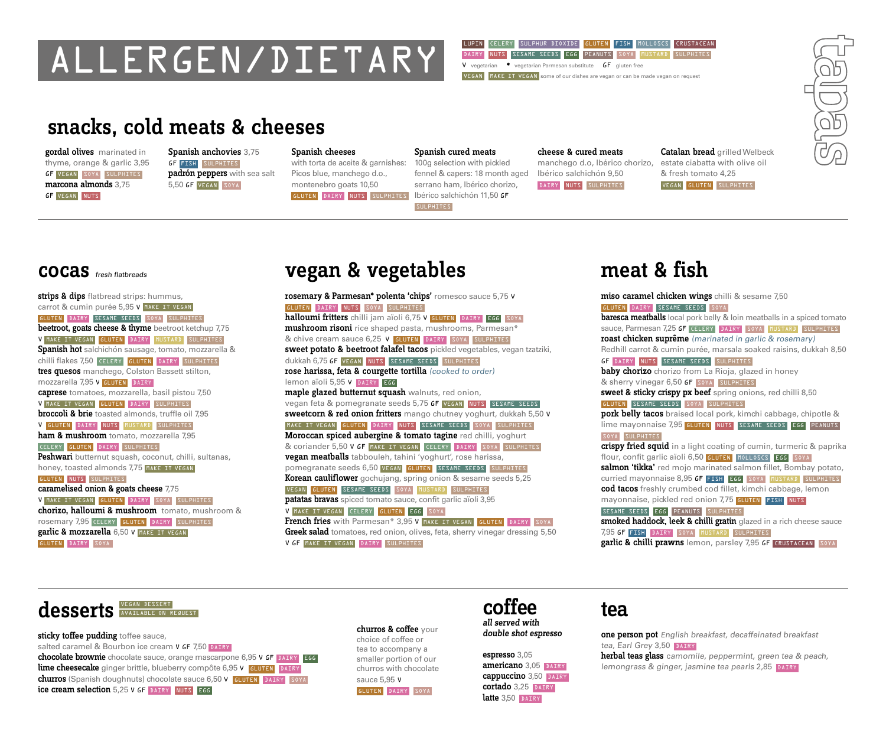# ALLERGEN/DIETARY

#### LUPIN CELERY SULPHUR DIOXIDE GLUTEN FISH MOLLOSCS CRUSTACEAN DAIRY NUTS SESAME SEEDS EGG PEANUTS SOYA MUSTARD SULPHITES V vegetarian  $*$  vegetarian Parmesan substitute  $GF$  gluten free

VEGAN MAKE IT VEGAN some of our dishes are vegan or can be made vegan on request

## snacks, cold meats & cheeses

gordal olives marinated in thyme, orange & garlic 3,95 GF VEGAN SOYA SULPHITES marcona almonds 3,75 GF VEGAN NUTS

Spanish anchovies 3,75 GF FISH SULPHITES padrón peppers with sea salt 5,50 GF VEGAN SOYA

Spanish cheeses

with torta de aceite & garnishes: Picos blue, manchego d.o., montenebro goats 10,50 GLUTEN DAIRY NUTS SULPHITES Ibérico salchichón 11,50 GF

SULPHITES

#### cheese & cured meats

fennel & capers: 18 month aged Ibérico salchichón 9,50 manchego d.o, Ibérico chorizo, DAIRY NUTS SULPHITES

Catalan bread grilled Welbeck estate ciabatta with olive oil & fresh tomato 4,25 VEGAN GLUTEN SULPHITES



strips & dips flatbread strips: hummus, carrot & cumin purée 5,95 V MAKE IT VEGAN GLUTEN DAIRY SESAME SEEDS SOYA SULPHITES beetroot, goats cheese & thyme beetroot ketchup 7,75 V MAKE IT VEGAN GLUTEN DAIRY MUSTARD SULPHITES Spanish hot salchichón sausage, tomato, mozzarella & chilli flakes 7,50 CELERY GLUTEN DAIRY SULPHITES tres quesos manchego, Colston Bassett stilton, mozzarella 7,95 V GLUTEN DAIRY caprese tomatoes, mozzarella, basil pistou 7,50 V MAKE IT VEGAN GLUTEN DAIRY SULPHITES broccoli & brie toasted almonds, truffle oil 7,95 V GLUTEN DAIRY NUTS MUSTARD SULPHITES ham & mushroom tomato, mozzarella 7,95 CELERY GLUTEN DAIRY SULPHITES Peshwari butternut squash, coconut, chilli, sultanas, honey, toasted almonds 7,75 MAKE IT VEGAN GLUTEN NUTS SULPHITES caramelised onion & goats cheese 7,75 V MAKE IT VEGAN GLUTEN DAIRY SOYA SULPHITES chorizo, halloumi & mushroom tomato, mushroom & rosemary 7,95 CELERY GLUTEN DAIRY SULPHITES garlic & mozzarella 6,50 V MAKE IT VEGAN GLUTEN DAIRY SOYA

## vegan & vegetables

rosemary & Parmesan\* polenta 'chips' romesco sauce 5,75 <sup>V</sup> GLUTEN DAIRY NUTS SOYA SULPHITES halloumi fritters chilli jam aïoli 6,75 V GLUTEN DAIRY EGG SOYA mushroom risoni rice shaped pasta, mushrooms, Parmesan\* & chive cream sauce 6,25 V GLUTEN DAIRY SOYA SULPHITES sweet potato & beetroot falafel tacos pickled vegetables, vegan tzatziki, dukkah 6,75 GF VEGAN NUTS SESAME SEEDS SULPHITES rose harissa, feta & courgette tortilla (cooked to order) lemon aïoli 5,95 V DAIRY EGG maple glazed butternut squash walnuts, red onion, vegan feta & pomegranate seeds 5,75 GF VEGAN NUTS SESAME SEEDS sweetcorn & red onion fritters mango chutney yoghurt, dukkah 5,50 v MAKE IT VEGAN GLUTEN DAIRY NUTS SESAME SEEDS SOYA SULPHITES Moroccan spiced aubergine & tomato tagine red chilli, yoghurt & coriander 5,50 V GF MAKE IT VEGAN CELERY DAIRY SOYA SULPHITES vegan meatballs tabbouleh, tahini 'yoghurt', rose harissa, pomegranate seeds 6,50 VEGAN GLUTEN SESAME SEEDS SULPHITES Korean cauliflower gochujang, spring onion & sesame seeds 5,25 VEGAN GLUTEN SESAME SEEDS SOYA MUSTARD SULPHITES patatas bravas spiced tomato sauce, confit garlic aïoli 3,95 V MAKE IT VEGAN CELERY GLUTEN EGG SOYA French fries with Parmesan\* 3,95 V MAKE IT VEGAN GLUTEN DAIRY SOYA Greek salad tomatoes, red onion, olives, feta, sherry vinegar dressing 5,50 V GF MAKE IT VEGAN DAIRY SULPHITES

Spanish cured meats 100g selection with pickled

serrano ham, Ibérico chorizo,

## meat & fish

miso caramel chicken wings chilli & sesame 7,50 GLUTEN DAIRY SESAME SEEDS SOYA **baresca meatballs** local pork belly & loin meatballs in a spiced tomato Sauce, Parmesan 7,25 GF CELERY DAIRY SOYA MUSTARD SULPHITES roast chicken suprême (marinated in garlic & rosemary) Redhill carrot & cumin purée, marsala soaked raisins, dukkah 8,50 GF DAIRY NUTS SESAME SEEDS SULPHITES baby chorizo chorizo from La Rioja, glazed in honey & sherry vinegar 6,50 GF SOYA SULPHITES sweet & sticky crispy px beef spring onions, red chilli 8,50 GLUTEN SESAME SEEDS SOYA SULPHITES pork belly tacos braised local pork, kimchi cabbage, chipotle & lime mayonnaise 7,95 GLUTEN NUTS SESAME SEEDS EGG PEANUTS SOYA SULPHITES crispy fried squid in a light coating of cumin, turmeric & paprika flour, confit garlic aïoli 6,50 GLUTEN MOLLOSCS EGG SOYA salmon 'tikka' red mojo marinated salmon fillet, Bombay potato, curried mayonnaise 8,95 GF FISH EGG SOYA MUSTARD SULPHITES cod tacos freshly crumbed cod fillet, kimchi cabbage, lemon mayonnaise, pickled red onion 7,75 GLUTEN FISH NUTS SESAME SEEDS EGG PEANUTS SULPHITES smoked haddock, leek & chilli gratin glazed in a rich cheese sauce 7,95 GF FISH DAIRY SOYA MUSTARD SULPHITES garlic & chilli prawns lemon, parsley 7,95 GF CRUSTACEAN SOYA



sticky toffee pudding toffee sauce, salted caramel & Bourbon ice cream V GF 7,50 DAIRY chocolate brownie chocolate sauce, orange mascarpone 6,95 V GF DAIRY EGG lime cheesecake ginger brittle, blueberry compôte 6,95 V GLUTEN DAIRY churros (Spanish doughnuts) chocolate sauce 6,50 V GLUTEN DAIRY SOYA ice cream selection 5,25 <sup>V</sup> GF DAIRY NUTS EGG

churros & coffee your choice of coffee or tea to accompany a smaller portion of our churros with chocolate sauce 5,95 V GLUTEN DAIRY SOYA

#### coffee all served with

double shot espresso espresso 3,05

americano 3,05 DAIRY cappuccino 3,50 DAIRY cortado 3,25 DAIRY latte 3,50 DAIRY

## tea

one person pot English breakfast, decaffeinated breakfast tea, Earl Grey 3.50 DAIRY

herbal teas glass camomile, peppermint, green tea & peach, lemongrass & ginger, jasmine tea pearls 2,85 DAIRY

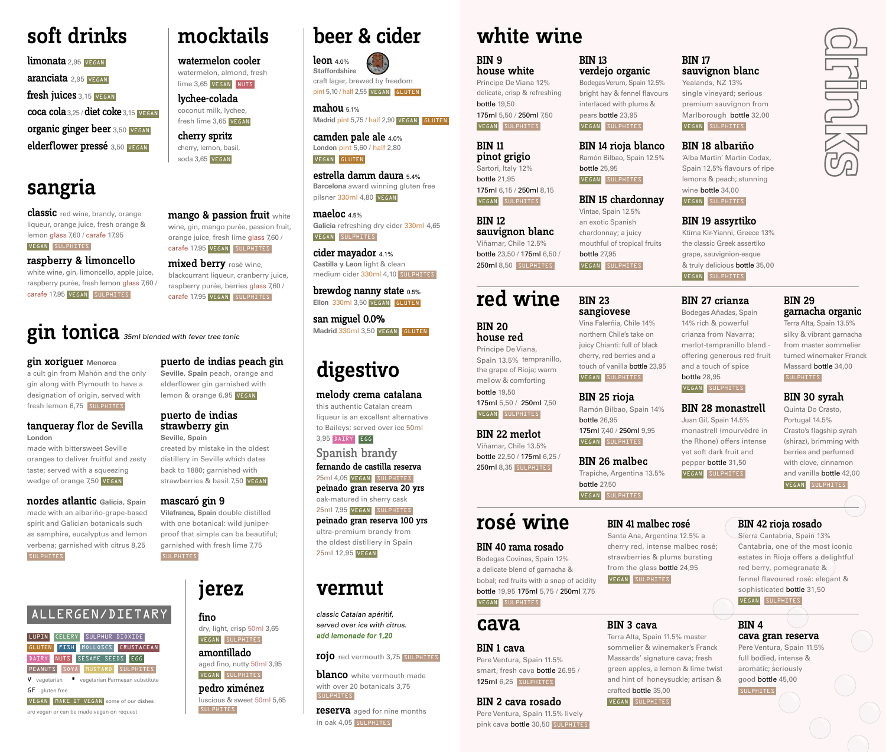## soft drinks

limonata 2,95 VEGAN aranciata 2,95 VEGAN fresh juices 3.15 VEGAN coca cola 3,25 / diet coke 3,15 VEGAN organic ginger beer 3,50 VEGAN elderflower pressé 3,50 VEGAN

## sangria

classic red wine, brandy, orange liqueur, orange juice, fresh orange & lemon glass 7,60 / carafe 17,95 VEGAN SULPHITES

#### raspberry & limoncello

white wine, gin, limoncello, apple juice, raspberry purée, fresh lemon glass 7,60 / carafe 17,95 VEGAN SULPHITES

#### mango & passion fruit white wine, gin, mango purée, passion fruit, orange juice, fresh lime glass 7,60 / carafe 17,95 VEGAN SULPHITES mixed berry rosé wine,

mocktails

watermelon cooler watermelon, almond, fresh lime 3,65 VEGAN NUTS lychee-colada coconut milk, lychee, fresh lime 3,65 VEGAN cherry spritz cherry, lemon, basil, soda 3,65 VEGAN

blackcurrant liqueur, cranberry juice, raspberry purée, berries glass 7,60 / carafe 17,95 VEGAN SULPHITES

## gin tonica 35ml blended with fever tree tonic

gin xoriguer **Menorca**

a cult gin from Mahón and the only gin along with Plymouth to have a designation of origin, served with fresh lemon 6,75 SULPHITES

#### tanqueray flor de Sevilla **London**

made with bittersweet Seville oranges to deliver fruitful and zesty taste; served with a squeezing wedge of orange 7,50 VEGAN

nordes atlantic **Galicia, Spain** made with an albariño-grape-based spirit and Galician botanicals such as samphire, eucalyptus and lemon verbena; garnished with citrus 8,25 **SULPHITES** 

## ALLERGEN/DIETARY

LUPIN CELERY SULPHUR DIOXIDE GLUTEN FISH MOLLOSCS CRUSTACEAN DAIRY NUTS SESAME SEEDS EGG PEANUTS SOYA MUSTARD SULPHITES V vegetarian \* vegetarian Parmesan substitute

GF gluten free VEGAN MAKE IT VEGAN some of our dishes

are vegan or can be made vegan on request

puerto de indias peach gin **Seville, Spain** peach, orange and

elderflower gin garnished with lemon & orange 6,95 VEGAN

#### puerto de indias strawberry gin **Seville, Spain**

created by mistake in the oldest distillery in Seville which dates back to 1880; garnished with strawberries & basil 7,50 VEGAN

#### mascaró gin 9

**Vilafranca, Spain** double distilled with one botanical: wild juniperproof that simple can be beautiful; garnished with fresh lime 7,75 SULPHITES

## jerez

fino dry, light, crisp 50ml 3,65 VEGAN SULPHITES

amontillado aged fino, nutty 50ml 3,95 VEGAN SULPHITES

pedro ximénez luscious & sweet 50ml 5,65 **SULPHITES** 

## beer & cider beer white wine

leon 4.0% **Staffordshire** craft lager, brewed by freedom pint 5,10 / half 2,55 VEGAN GLUTEN

mahou 5.1% Madrid pint 5,75 / half 2,90 VEGAN GLUTEN

camden pale ale 4.0% **London** pint 5,60 / half 2,80 VEGAN GLUTEN

estrella damm daura 5.4% **Barcelona** award winning gluten free pilsner 330ml 4,80 VEGAN

maeloc 4.5% **Galicia** refreshing dry cider 330ml 4,65 VEGAN SULPHITES

cider mayador 4.1% **Castilla y Leon** light & clean medium cider 330ml 4,10 SULPHITES

brewdog nanny state 0.5% **Ellon** 330ml 3,50 VEGAN GLUTEN

san miguel 0.0% **Madrid** 330ml 3,50 VEGAN GLUTEN

## digestivo

#### melody crema catalana

this authentic Catalan cream liqueur is an excellent alternative to Baileys; served over ice 50ml 3,95 DAIRY EGG

Spanish brandy fernando de castilla reserva

25ml 4,05 VEGAN SULPHITES peinado gran reserva 20 yrs oak-matured in sherry cask 25ml 7,95 VEGAN SULPHITES peinado gran reserva 100 yrs ultra-premium brandy from the oldest distillery in Spain 25ml 12,95 VEGAN

## vermut

classic Catalan apéritif, served over ice with citrus. add lemonade for 1,20

#### **rojo** red vermouth 3,75 SULPHITES

**blanco** white vermouth made with over 20 botanicals 3,75 SULPHITES

reserva aged for nine months in oak 4,05 SULPHITES

BIN 13

verdejo organic

interlaced with plums & pears bottle 23,95 VEGAN SULPHITES

Ramón Bilbao, Spain 12.5%

BIN 15 chardonnay Vintae, Spain 12.5% an exotic Spanish chardonnay; a juicy mouthful of tropical fruits

bottle 25,95 VEGAN SULPHITES

bottle 27,95 VEGAN SULPHITES

BIN 23 sangiovese Vina Falerñia, Chile 14% northern Chile's take on

#### BIN 9 house white

Príncipe De Viana 12% delicate, crisp & refreshing bottle 19,50 175ml 5,50 / 250ml 7,50 VEGAN SULPHITES

#### BIN 11 pinot grigio

Sartori, Italy 12% bottle 21,95 175ml 6,15 / 250ml 8,15 VEGAN SULPHITES

#### BIN 12 sauvignon blanc Viñamar, Chile 12.5% bottle 23,50 / 175ml 6,50 /

250ml 8,50 SULPHITES

## red wine

#### BIN 20 house red

Príncipe De Viana, Spain 13.5% tempranillo, the grape of Rioja; warm mellow & comforting bottle 19,50

VEGAN SULPHITES

#### BIN 22 merlot

250ml 8,35 SULPHITES

Trapiche, Argentina 13.5% bottle 27,50 VEGAN SULPHITES

bottle 26,95

175ml 7,40 / 250ml 9,95 VEGAN SULPHITES

BIN 26 malbec

## rosé wine

#### BIN 40 rama rosado

cava

Bodegas Covinas, Spain 12% a delicate blend of garnacha & bobal; red fruits with a snap of acidity bottle 19,95 175ml 5,75 / 250ml 7,75 VEGAN SULPHITES

BIN 1 cava Pere Ventura, Spain 11.5% smart, fresh cava bottle 26.95 / 125ml 6,25 SULPHITES

## BIN 2 cava rosado

Pere Ventura, Spain 11.5% lively pink cava bottle 30,50 SULPHITES

#### Bodegas Verum, Spain 12.5% BIN 17 sauvignon blanc

bright hay & fennel flavours Yealands, NZ 13% single vineyard; serious premium sauvignon from Marlborough bottle 32,00 VEGAN SULPHITES

#### BIN 14 rioja blanco BIN 18 albariño

'Alba Martin' Martin Codax, Spain 12.5% flavours of ripe lemons & peach; stunning wine bottle 34,00 VEGAN SULPHITES

#### BIN 19 assyrtiko

Ktima Kir-Yianni, Greece 13% the classic Greek assertiko grape, sauvignion-esque & truly delicious bottle 35,00 VEGAN SULPHITES

#### BIN 27 crianza

Bodegas Añadas, Spain 14% rich & powerful crianza from Navarra; merlot-tempranillo blend offering generous red fruit and a touch of spice bottle 28,95

#### VEGAN SULPHITES

BIN 28 monastrell Juan Gil, Spain 14.5% monastrell (mourvèdre in the Rhone) offers intense yet soft dark fruit and pepper bottle 31,50

VEGAN SULPHITES

#### VEGAN SULPHITES

BIN 29

SULPHITES

BIN 30 syrah Quinta Do Crasto, Portugal 14.5% Crasto's flagship syrah (shiraz), brimming with berries and perfumed with clove, cinnamon and vanilla bottle 42,00

garnacha organic Terra Alta, Spain 13.5% silky & vibrant garnacha from master sommelier turned winemaker Franck Massard bottle 34,00

BIN 42 rioja rosado

Sierra Cantabria, Spain 13% Cantabria, one of the most iconic estates in Rioja offers a delightful red berry, pomegranate & fennel flavoured rosé: elegant & sophisticated bottle 31,50

VEGAN SULPHITES

## BIN 4

cava gran reserva Pere Ventura, Spain 11.5%

full bodied, intense & aromatic; seriously good bottle 45,00 **SULPHITES** 

**SZTOUL** 

175ml 5,50 / 250ml 7,50 juicy Chianti: full of black cherry, red berries and a touch of vanilla bottle 23,95 VEGAN SULPHITES BIN 25 rioja Ramón Bilbao, Spain 14%

Viñamar, Chile 13.5% bottle 22,50 / 175ml 6,25 /

BIN 41 malbec rosé Santa Ana, Argentina 12.5% a

cherry red, intense malbec rosé; strawberries & plums bursting from the glass bottle 24,95 VEGAN SULPHITES

### BIN 3 cava

VEGAN SULPHITES

Terra Alta, Spain 11.5% master sommelier & winemaker's Franck Massards' signature cava; fresh green apples, a lemon & lime twist and hint of honeysuckle; artisan & crafted bottle 35,00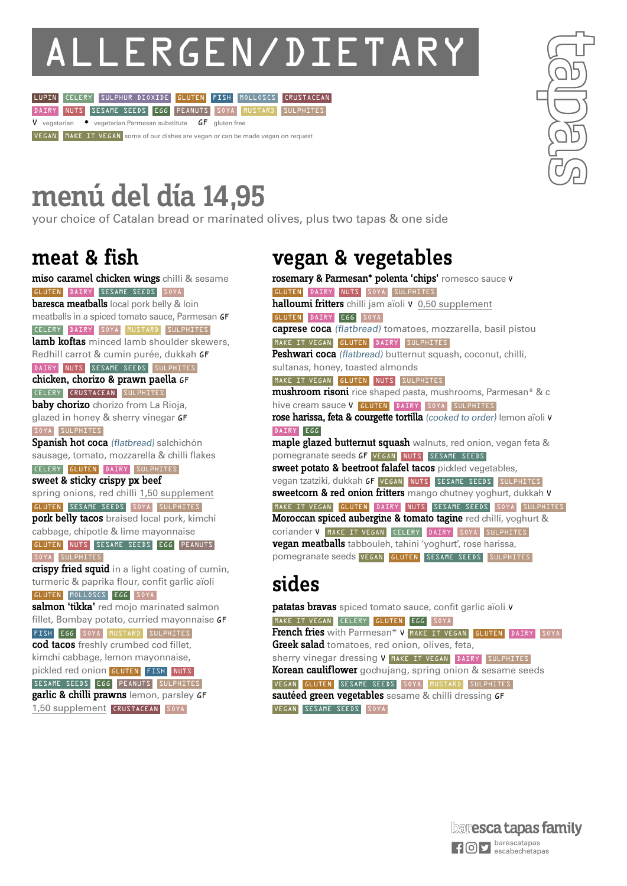# ALLERGEN/DIETARY<br>LUPIN CELERY SULPHUR DIOXIDE GLUTEN FISH MOLLOSCS CRUSTACEAN





# menú del día 14,95

your choice of Catalan bread or marinated olives, plus two tapas & one side

## meat & fish

miso caramel chicken wings chilli & sesame GLUTEN DAIRY SESAME SEEDS SOYA **baresca meatballs** local pork belly & loin meatballs in a spiced tomato sauce, Parmesan GF CELERY DAIRY SOYA MUSTARD SULPHITES lamb koftas minced lamb shoulder skewers, Redhill carrot & cumin purée, dukkah GF DAIRY NUTS SESAME SEEDS SULPHITES chicken, chorizo & prawn paella GF CELERY CRUSTACEAN SULPHITES baby chorizo chorizo from La Rioja, glazed in honey & sherry vinegar GF SOYA SULPHITES Spanish hot coca (flatbread) salchichón sausage, tomato, mozzarella & chilli flakes CELERY GLUTEN DAIRY SULPHITES sweet & sticky crispy px beef spring onions, red chilli 1,50 supplement GLUTEN SESAME SEEDS SOYA SULPHITES pork belly tacos braised local pork, kimchi cabbage, chipotle & lime mayonnaise GLUTEN NUTS SESAME SEEDS EGG PEANUTS SOYA SULPHITES crispy fried squid in a light coating of cumin, turmeric & paprika flour, confit garlic aïoli GLUTEN MOLLOSCS EGG SOYA salmon 'tikka' red mojo marinated salmon fillet, Bombay potato, curried mayonnaise GF FISH EGG SOYA MUSTARD SULPHITES cod tacos freshly crumbed cod fillet, kimchi cabbage, lemon mayonnaise, pickled red onion GLUTEN FISH NUTS SESAME SEEDS EGG PEANUTS SULPHITES garlic & chilli prawns lemon, parsley GF 1,50 supplement CRUSTACEAN SOYA

## vegan & vegetables

rosemary & Parmesan\* polenta 'chips' romesco sauce <sup>V</sup> GLUTEN DAIRY NUTS SOYA SULPHITES halloumi fritters chilli jam aïoli V 0,50 supplement GLUTEN DAIRY EGG SOYA caprese coca (flatbread) tomatoes, mozzarella, basil pistou MAKE IT VEGAN GLUTEN DAIRY SULPHITES Peshwari coca (flatbread) butternut squash, coconut, chilli, sultanas, honey, toasted almonds MAKE IT VEGAN GLUTEN NUTS SULPHITES mushroom risoni rice shaped pasta, mushrooms, Parmesan\* & c hive cream sauce V GLUTEN DAIRY SOYA SULPHITES rose harissa, feta & courgette tortilla (cooked to order) lemon aïoli <sup>V</sup> DAIRY EGG maple glazed butternut squash walnuts, red onion, vegan feta & pomegranate seeds **GF** VEGAN NUTS SESAME SEEDS sweet potato & beetroot falafel tacos pickled vegetables, vegan tzatziki, dukkah GF VEGAN NUTS SESAME SEEDS SULPHITES sweetcorn & red onion fritters mango chutney yoghurt, dukkah v MAKE IT VEGAN GLUTEN DAIRY NUTS SESAME SEEDS SOYA SULPHITES Moroccan spiced aubergine & tomato tagine red chilli, yoghurt & coriander V MAKE IT VEGAN CELERY DAIRY SOYA SULPHITES vegan meatballs tabbouleh, tahini 'yoghurt', rose harissa, pomegranate seeds VEGAN GLUTEN SESAME SEEDS SULPHITES

## sides

patatas bravas spiced tomato sauce, confit garlic aïoli v MAKE IT VEGAN CELERY GLUTEN EGG SOYA French fries with Parmesan\* V MAKE IT VEGAN GLUTEN DAIRY SOYA Greek salad tomatoes, red onion, olives, feta, sherry vinegar dressing V MAKE IT VEGAN DAIRY SULPHITES Korean cauliflower gochujang, spring onion & sesame seeds VEGAN GLUTEN SESAME SEEDS SOYA MUSTARD SULPHITES sautéed green vegetables sesame & chilli dressing GF VEGAN SESAME SEEDS SOYA